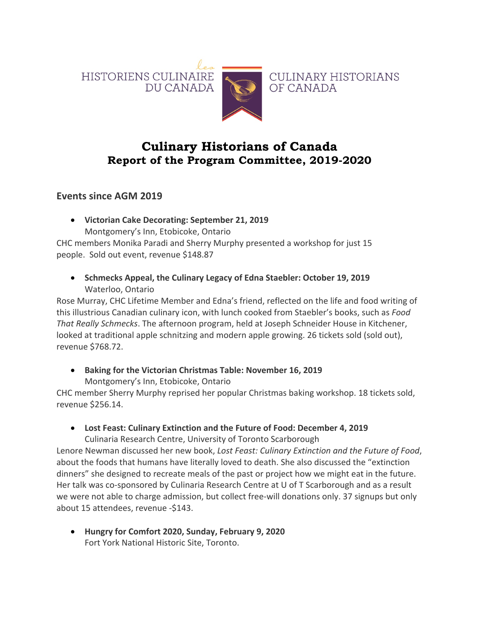



CULINARY HISTORIANS OF CANADA

# **Culinary Historians of Canada Report of the Program Committee, 2019-2020**

**Events since AGM 2019**

• **Victorian Cake Decorating: September 21, 2019** Montgomery's Inn, Etobicoke, Ontario

CHC members Monika Paradi and Sherry Murphy presented a workshop for just 15 people. Sold out event, revenue \$148.87

• **Schmecks Appeal, the Culinary Legacy of Edna Staebler: October 19, 2019** Waterloo, Ontario

Rose Murray, CHC Lifetime Member and Edna's friend, reflected on the life and food writing of this illustrious Canadian culinary icon, with lunch cooked from Staebler's books, such as *Food That Really Schmecks*. The afternoon program, held at Joseph Schneider House in Kitchener, looked at traditional apple schnitzing and modern apple growing. 26 tickets sold (sold out), revenue \$768.72.

• **Baking for the Victorian Christmas Table: November 16, 2019** Montgomery's Inn, Etobicoke, Ontario

CHC member Sherry Murphy reprised her popular Christmas baking workshop. 18 tickets sold, revenue \$256.14.

• **Lost Feast: Culinary Extinction and the Future of Food: December 4, 2019**

Culinaria Research Centre, University of Toronto Scarborough Lenore Newman discussed her new book, *Lost Feast: Culinary Extinction and the Future of Food*, about the foods that humans have literally loved to death. She also discussed the "extinction dinners" she designed to recreate meals of the past or project how we might eat in the future. Her talk was co-sponsored by Culinaria Research Centre at U of T Scarborough and as a result we were not able to charge admission, but collect free-will donations only. 37 signups but only about 15 attendees, revenue -\$143.

• **Hungry for Comfort 2020, Sunday, February 9, 2020** Fort York National Historic Site, Toronto.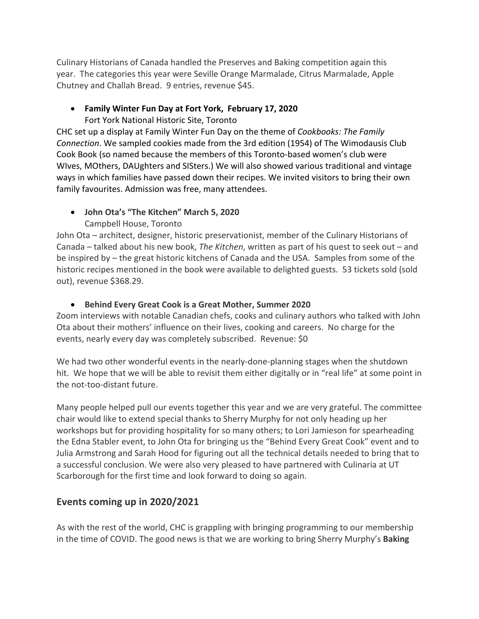Culinary Historians of Canada handled the Preserves and Baking competition again this year. The categories this year were Seville Orange Marmalade, Citrus Marmalade, Apple Chutney and Challah Bread. 9 entries, revenue \$45.

## • **Family Winter Fun Day at Fort York, February 17, 2020**

Fort York National Historic Site, Toronto

CHC set up a display at Family Winter Fun Day on the theme of *Cookbooks: The Family Connection*. We sampled cookies made from the 3rd edition (1954) of The Wimodausis Club Cook Book (so named because the members of this Toronto-based women's club were WIves, MOthers, DAUghters and SISters.) We will also showed various traditional and vintage ways in which families have passed down their recipes. We invited visitors to bring their own family favourites. Admission was free, many attendees.

### • **John Ota's "The Kitchen" March 5, 2020**

### Campbell House, Toronto

John Ota – architect, designer, historic preservationist, member of the Culinary Historians of Canada – talked about his new book, *The Kitchen*, written as part of his quest to seek out – and be inspired by – the great historic kitchens of Canada and the USA. Samples from some of the historic recipes mentioned in the book were available to delighted guests. 53 tickets sold (sold out), revenue \$368.29.

#### • **Behind Every Great Cook is a Great Mother, Summer 2020**

Zoom interviews with notable Canadian chefs, cooks and culinary authors who talked with John Ota about their mothers' influence on their lives, cooking and careers. No charge for the events, nearly every day was completely subscribed. Revenue: \$0

We had two other wonderful events in the nearly-done-planning stages when the shutdown hit. We hope that we will be able to revisit them either digitally or in "real life" at some point in the not-too-distant future.

Many people helped pull our events together this year and we are very grateful. The committee chair would like to extend special thanks to Sherry Murphy for not only heading up her workshops but for providing hospitality for so many others; to Lori Jamieson for spearheading the Edna Stabler event, to John Ota for bringing us the "Behind Every Great Cook" event and to Julia Armstrong and Sarah Hood for figuring out all the technical details needed to bring that to a successful conclusion. We were also very pleased to have partnered with Culinaria at UT Scarborough for the first time and look forward to doing so again.

## **Events coming up in 2020/2021**

As with the rest of the world, CHC is grappling with bringing programming to our membership in the time of COVID. The good news is that we are working to bring Sherry Murphy's **Baking**